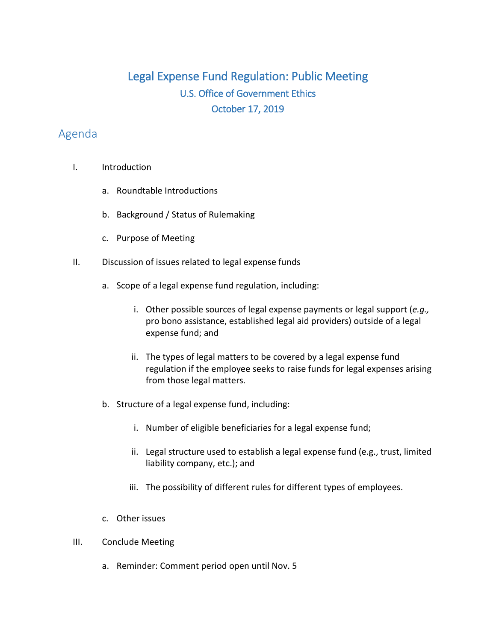## Legal Expense Fund Regulation: Public Meeting U.S. Office of Government Ethics October 17, 2019

## Agenda

- I. Introduction
	- a. Roundtable Introductions
	- b. Background / Status of Rulemaking
	- c. Purpose of Meeting
- II. Discussion of issues related to legal expense funds
	- a. Scope of a legal expense fund regulation, including:
		- i. Other possible sources of legal expense payments or legal support (*e.g.,*  pro bono assistance, established legal aid providers) outside of a legal expense fund; and
		- ii. The types of legal matters to be covered by a legal expense fund regulation if the employee seeks to raise funds for legal expenses arising from those legal matters.
	- b. Structure of a legal expense fund, including:
		- i. Number of eligible beneficiaries for a legal expense fund;
		- ii. Legal structure used to establish a legal expense fund (e.g., trust, limited liability company, etc.); and
		- iii. The possibility of different rules for different types of employees.
	- c. Other issues
- III. Conclude Meeting
	- a. Reminder: Comment period open until Nov. 5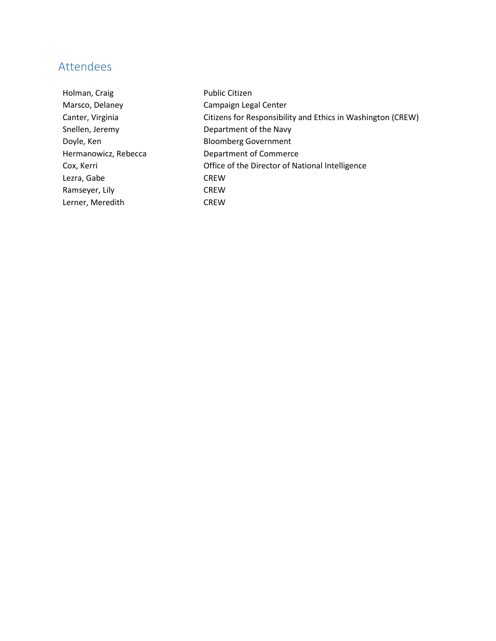## Attendees

Holman, Craig **Public Citizen** Marsco, Delaney Campaign Legal Center Canter, Virginia Citizens for Responsibility and Ethics in Washington (CREW) Snellen, Jeremy Department of the Navy Doyle, Ken **Bloomberg Government** Hermanowicz, Rebecca Department of Commerce Cox, Kerri Office of the Director of National Intelligence Lezra, Gabe CREW Ramseyer, Lily **CREW** Lerner, Meredith CREW